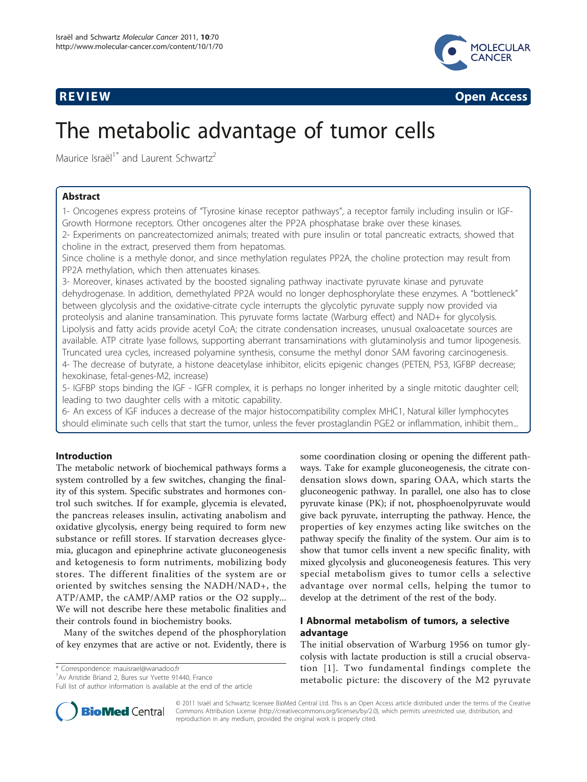

**REVIEW REVIEW CONSTRUCTER CONSTRUCTION** 

# The metabolic advantage of tumor cells

Maurice Israël<sup>1\*</sup> and Laurent Schwartz<sup>2</sup>

# Abstract

1- Oncogenes express proteins of "Tyrosine kinase receptor pathways", a receptor family including insulin or IGF-Growth Hormone receptors. Other oncogenes alter the PP2A phosphatase brake over these kinases.

2- Experiments on pancreatectomized animals; treated with pure insulin or total pancreatic extracts, showed that choline in the extract, preserved them from hepatomas.

Since choline is a methyle donor, and since methylation regulates PP2A, the choline protection may result from PP2A methylation, which then attenuates kinases.

3- Moreover, kinases activated by the boosted signaling pathway inactivate pyruvate kinase and pyruvate dehydrogenase. In addition, demethylated PP2A would no longer dephosphorylate these enzymes. A "bottleneck" between glycolysis and the oxidative-citrate cycle interrupts the glycolytic pyruvate supply now provided via proteolysis and alanine transamination. This pyruvate forms lactate (Warburg effect) and NAD+ for glycolysis. Lipolysis and fatty acids provide acetyl CoA; the citrate condensation increases, unusual oxaloacetate sources are available. ATP citrate lyase follows, supporting aberrant transaminations with glutaminolysis and tumor lipogenesis. Truncated urea cycles, increased polyamine synthesis, consume the methyl donor SAM favoring carcinogenesis. 4- The decrease of butyrate, a histone deacetylase inhibitor, elicits epigenic changes (PETEN, P53, IGFBP decrease; hexokinase, fetal-genes-M2, increase)

5- IGFBP stops binding the IGF - IGFR complex, it is perhaps no longer inherited by a single mitotic daughter cell; leading to two daughter cells with a mitotic capability.

6- An excess of IGF induces a decrease of the major histocompatibility complex MHC1, Natural killer lymphocytes should eliminate such cells that start the tumor, unless the fever prostaglandin PGE2 or inflammation, inhibit them...

# Introduction

The metabolic network of biochemical pathways forms a system controlled by a few switches, changing the finality of this system. Specific substrates and hormones control such switches. If for example, glycemia is elevated, the pancreas releases insulin, activating anabolism and oxidative glycolysis, energy being required to form new substance or refill stores. If starvation decreases glycemia, glucagon and epinephrine activate gluconeogenesis and ketogenesis to form nutriments, mobilizing body stores. The different finalities of the system are or oriented by switches sensing the NADH/NAD+, the ATP/AMP, the cAMP/AMP ratios or the O2 supply... We will not describe here these metabolic finalities and their controls found in biochemistry books.

Many of the switches depend of the phosphorylation of key enzymes that are active or not. Evidently, there is

\* Correspondence: [mauisrael@wanadoo.fr](mailto:mauisrael@wanadoo.fr)

<sup>1</sup> Av Aristide Briand 2, Bures sur Yvette 91440, France

Full list of author information is available at the end of the article

some coordination closing or opening the different pathways. Take for example gluconeogenesis, the citrate condensation slows down, sparing OAA, which starts the gluconeogenic pathway. In parallel, one also has to close pyruvate kinase (PK); if not, phosphoenolpyruvate would give back pyruvate, interrupting the pathway. Hence, the properties of key enzymes acting like switches on the pathway specify the finality of the system. Our aim is to show that tumor cells invent a new specific finality, with mixed glycolysis and gluconeogenesis features. This very special metabolism gives to tumor cells a selective advantage over normal cells, helping the tumor to develop at the detriment of the rest of the body.

# I Abnormal metabolism of tumors, a selective advantage

The initial observation of Warburg 1956 on tumor glycolysis with lactate production is still a crucial observation [[1](#page-9-0)]. Two fundamental findings complete the metabolic picture: the discovery of the M2 pyruvate



© 2011 Israël and Schwartz; licensee BioMed Central Ltd. This is an Open Access article distributed under the terms of the Creative Commons Attribution License [\(http://creativecommons.org/licenses/by/2.0](http://creativecommons.org/licenses/by/2.0)), which permits unrestricted use, distribution, and reproduction in any medium, provided the original work is properly cited.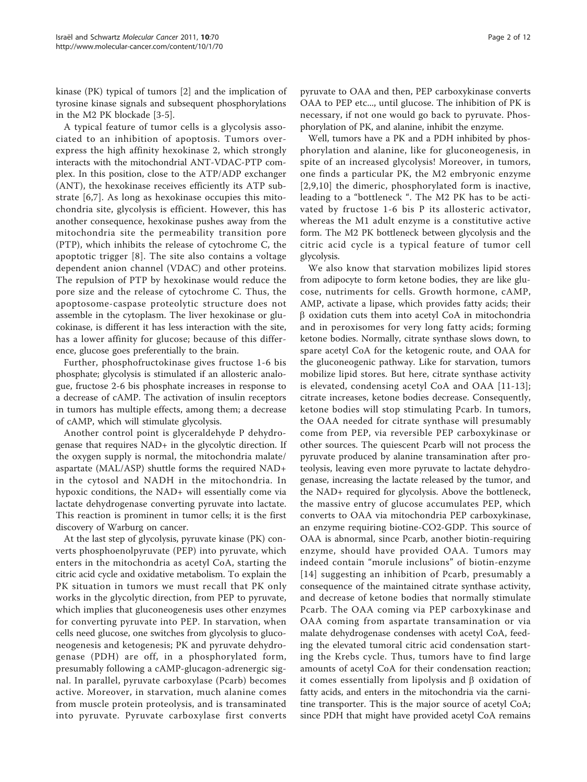kinase (PK) typical of tumors [[2\]](#page-9-0) and the implication of tyrosine kinase signals and subsequent phosphorylations in the M2 PK blockade [[3-5](#page-9-0)].

A typical feature of tumor cells is a glycolysis associated to an inhibition of apoptosis. Tumors overexpress the high affinity hexokinase 2, which strongly interacts with the mitochondrial ANT-VDAC-PTP complex. In this position, close to the ATP/ADP exchanger (ANT), the hexokinase receives efficiently its ATP substrate [\[6](#page-9-0),[7\]](#page-9-0). As long as hexokinase occupies this mitochondria site, glycolysis is efficient. However, this has another consequence, hexokinase pushes away from the mitochondria site the permeability transition pore (PTP), which inhibits the release of cytochrome C, the apoptotic trigger [[8](#page-9-0)]. The site also contains a voltage dependent anion channel (VDAC) and other proteins. The repulsion of PTP by hexokinase would reduce the pore size and the release of cytochrome C. Thus, the apoptosome-caspase proteolytic structure does not assemble in the cytoplasm. The liver hexokinase or glucokinase, is different it has less interaction with the site, has a lower affinity for glucose; because of this difference, glucose goes preferentially to the brain.

Further, phosphofructokinase gives fructose 1-6 bis phosphate; glycolysis is stimulated if an allosteric analogue, fructose 2-6 bis phosphate increases in response to a decrease of cAMP. The activation of insulin receptors in tumors has multiple effects, among them; a decrease of cAMP, which will stimulate glycolysis.

Another control point is glyceraldehyde P dehydrogenase that requires NAD+ in the glycolytic direction. If the oxygen supply is normal, the mitochondria malate/ aspartate (MAL/ASP) shuttle forms the required NAD+ in the cytosol and NADH in the mitochondria. In hypoxic conditions, the NAD+ will essentially come via lactate dehydrogenase converting pyruvate into lactate. This reaction is prominent in tumor cells; it is the first discovery of Warburg on cancer.

At the last step of glycolysis, pyruvate kinase (PK) converts phosphoenolpyruvate (PEP) into pyruvate, which enters in the mitochondria as acetyl CoA, starting the citric acid cycle and oxidative metabolism. To explain the PK situation in tumors we must recall that PK only works in the glycolytic direction, from PEP to pyruvate, which implies that gluconeogenesis uses other enzymes for converting pyruvate into PEP. In starvation, when cells need glucose, one switches from glycolysis to gluconeogenesis and ketogenesis; PK and pyruvate dehydrogenase (PDH) are off, in a phosphorylated form, presumably following a cAMP-glucagon-adrenergic signal. In parallel, pyruvate carboxylase (Pcarb) becomes active. Moreover, in starvation, much alanine comes from muscle protein proteolysis, and is transaminated into pyruvate. Pyruvate carboxylase first converts

pyruvate to OAA and then, PEP carboxykinase converts OAA to PEP etc..., until glucose. The inhibition of PK is necessary, if not one would go back to pyruvate. Phosphorylation of PK, and alanine, inhibit the enzyme.

Well, tumors have a PK and a PDH inhibited by phosphorylation and alanine, like for gluconeogenesis, in spite of an increased glycolysis! Moreover, in tumors, one finds a particular PK, the M2 embryonic enzyme [[2](#page-9-0),[9,10\]](#page-9-0) the dimeric, phosphorylated form is inactive, leading to a "bottleneck ". The M2 PK has to be activated by fructose 1-6 bis P its allosteric activator, whereas the M1 adult enzyme is a constitutive active form. The M2 PK bottleneck between glycolysis and the citric acid cycle is a typical feature of tumor cell glycolysis.

We also know that starvation mobilizes lipid stores from adipocyte to form ketone bodies, they are like glucose, nutriments for cells. Growth hormone, cAMP, AMP, activate a lipase, which provides fatty acids; their  $\beta$  oxidation cuts them into acetyl CoA in mitochondria and in peroxisomes for very long fatty acids; forming ketone bodies. Normally, citrate synthase slows down, to spare acetyl CoA for the ketogenic route, and OAA for the gluconeogenic pathway. Like for starvation, tumors mobilize lipid stores. But here, citrate synthase activity is elevated, condensing acetyl CoA and OAA [[11-13](#page-9-0)]; citrate increases, ketone bodies decrease. Consequently, ketone bodies will stop stimulating Pcarb. In tumors, the OAA needed for citrate synthase will presumably come from PEP, via reversible PEP carboxykinase or other sources. The quiescent Pcarb will not process the pyruvate produced by alanine transamination after proteolysis, leaving even more pyruvate to lactate dehydrogenase, increasing the lactate released by the tumor, and the NAD+ required for glycolysis. Above the bottleneck, the massive entry of glucose accumulates PEP, which converts to OAA via mitochondria PEP carboxykinase, an enzyme requiring biotine-CO2-GDP. This source of OAA is abnormal, since Pcarb, another biotin-requiring enzyme, should have provided OAA. Tumors may indeed contain "morule inclusions" of biotin-enzyme [[14\]](#page-9-0) suggesting an inhibition of Pcarb, presumably a consequence of the maintained citrate synthase activity, and decrease of ketone bodies that normally stimulate Pcarb. The OAA coming via PEP carboxykinase and OAA coming from aspartate transamination or via malate dehydrogenase condenses with acetyl CoA, feeding the elevated tumoral citric acid condensation starting the Krebs cycle. Thus, tumors have to find large amounts of acetyl CoA for their condensation reaction; it comes essentially from lipolysis and  $\beta$  oxidation of fatty acids, and enters in the mitochondria via the carnitine transporter. This is the major source of acetyl CoA; since PDH that might have provided acetyl CoA remains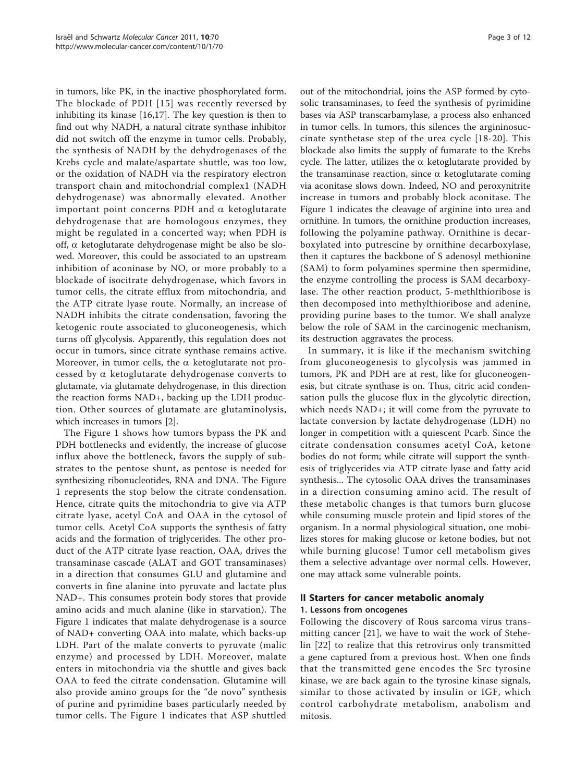in tumors, like PK, in the inactive phosphorylated form. The blockade of PDH [[15\]](#page-9-0) was recently reversed by inhibiting its kinase [[16,17\]](#page-9-0). The key question is then to find out why NADH, a natural citrate synthase inhibitor did not switch off the enzyme in tumor cells. Probably, the synthesis of NADH by the dehydrogenases of the Krebs cycle and malate/aspartate shuttle, was too low, or the oxidation of NADH via the respiratory electron transport chain and mitochondrial complex1 (NADH dehydrogenase) was abnormally elevated. Another important point concerns PDH and  $\alpha$  ketoglutarate dehydrogenase that are homologous enzymes, they might be regulated in a concerted way; when PDH is off,  $\alpha$  ketoglutarate dehydrogenase might be also be slowed. Moreover, this could be associated to an upstream inhibition of aconinase by NO, or more probably to a blockade of isocitrate dehydrogenase, which favors in tumor cells, the citrate efflux from mitochondria, and the ATP citrate lyase route. Normally, an increase of NADH inhibits the citrate condensation, favoring the ketogenic route associated to gluconeogenesis, which turns off glycolysis. Apparently, this regulation does not occur in tumors, since citrate synthase remains active. Moreover, in tumor cells, the  $\alpha$  ketoglutarate not processed by  $\alpha$  ketoglutarate dehydrogenase converts to glutamate, via glutamate dehydrogenase, in this direction the reaction forms NAD+, backing up the LDH production. Other sources of glutamate are glutaminolysis, which increases in tumors [[2\]](#page-9-0).

The Figure [1](#page-3-0) shows how tumors bypass the PK and PDH bottlenecks and evidently, the increase of glucose influx above the bottleneck, favors the supply of substrates to the pentose shunt, as pentose is needed for synthesizing ribonucleotides, RNA and DNA. The Figure [1](#page-3-0) represents the stop below the citrate condensation. Hence, citrate quits the mitochondria to give via ATP citrate lyase, acetyl CoA and OAA in the cytosol of tumor cells. Acetyl CoA supports the synthesis of fatty acids and the formation of triglycerides. The other product of the ATP citrate lyase reaction, OAA, drives the transaminase cascade (ALAT and GOT transaminases) in a direction that consumes GLU and glutamine and converts in fine alanine into pyruvate and lactate plus NAD+. This consumes protein body stores that provide amino acids and much alanine (like in starvation). The Figure [1](#page-3-0) indicates that malate dehydrogenase is a source of NAD+ converting OAA into malate, which backs-up LDH. Part of the malate converts to pyruvate (malic enzyme) and processed by LDH. Moreover, malate enters in mitochondria via the shuttle and gives back OAA to feed the citrate condensation. Glutamine will also provide amino groups for the "de novo" synthesis of purine and pyrimidine bases particularly needed by tumor cells. The Figure [1](#page-3-0) indicates that ASP shuttled

out of the mitochondrial, joins the ASP formed by cytosolic transaminases, to feed the synthesis of pyrimidine bases via ASP transcarbamylase, a process also enhanced in tumor cells. In tumors, this silences the argininosuccinate synthetase step of the urea cycle [\[18-20](#page-9-0)]. This blockade also limits the supply of fumarate to the Krebs cycle. The latter, utilizes the  $\alpha$  ketoglutarate provided by the transaminase reaction, since  $\alpha$  ketoglutarate coming via aconitase slows down. Indeed, NO and peroxynitrite increase in tumors and probably block aconitase. The Figure [1](#page-3-0) indicates the cleavage of arginine into urea and ornithine. In tumors, the ornithine production increases, following the polyamine pathway. Ornithine is decarboxylated into putrescine by ornithine decarboxylase, then it captures the backbone of S adenosyl methionine (SAM) to form polyamines spermine then spermidine,

the enzyme controlling the process is SAM decarboxylase. The other reaction product, 5-methlthioribose is then decomposed into methylthioribose and adenine, providing purine bases to the tumor. We shall analyze below the role of SAM in the carcinogenic mechanism, its destruction aggravates the process.

In summary, it is like if the mechanism switching from gluconeogenesis to glycolysis was jammed in tumors, PK and PDH are at rest, like for gluconeogenesis, but citrate synthase is on. Thus, citric acid condensation pulls the glucose flux in the glycolytic direction, which needs NAD+; it will come from the pyruvate to lactate conversion by lactate dehydrogenase (LDH) no longer in competition with a quiescent Pcarb. Since the citrate condensation consumes acetyl CoA, ketone bodies do not form; while citrate will support the synthesis of triglycerides via ATP citrate lyase and fatty acid synthesis... The cytosolic OAA drives the transaminases in a direction consuming amino acid. The result of these metabolic changes is that tumors burn glucose while consuming muscle protein and lipid stores of the organism. In a normal physiological situation, one mobilizes stores for making glucose or ketone bodies, but not while burning glucose! Tumor cell metabolism gives them a selective advantage over normal cells. However, one may attack some vulnerable points.

# II Starters for cancer metabolic anomaly 1. Lessons from oncogenes

Following the discovery of Rous sarcoma virus transmitting cancer [[21](#page-9-0)], we have to wait the work of Stehelin [[22\]](#page-9-0) to realize that this retrovirus only transmitted a gene captured from a previous host. When one finds that the transmitted gene encodes the Src tyrosine kinase, we are back again to the tyrosine kinase signals, similar to those activated by insulin or IGF, which control carbohydrate metabolism, anabolism and mitosis.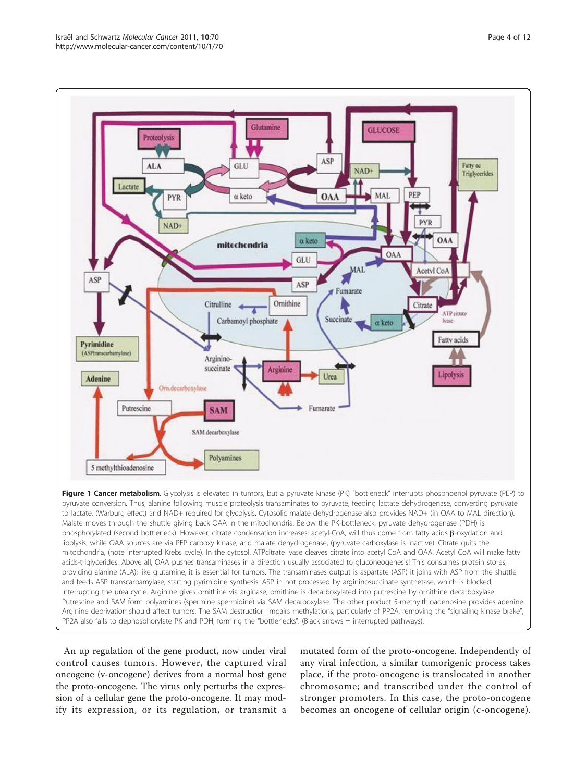<span id="page-3-0"></span>

Figure 1 Cancer metabolism. Glycolysis is elevated in tumors, but a pyruvate kinase (PK) "bottleneck" interrupts phosphoenol pyruvate (PEP) to pyruvate conversion. Thus, alanine following muscle proteolysis transaminates to pyruvate, feeding lactate dehydrogenase, converting pyruvate to lactate, (Warburg effect) and NAD+ required for glycolysis. Cytosolic malate dehydrogenase also provides NAD+ (in OAA to MAL direction). Malate moves through the shuttle giving back OAA in the mitochondria. Below the PK-bottleneck, pyruvate dehydrogenase (PDH) is phosphorylated (second bottleneck). However, citrate condensation increases: acetyl-CoA, will thus come from fatty acids  $\beta$ -oxydation and lipolysis, while OAA sources are via PEP carboxy kinase, and malate dehydrogenase, (pyruvate carboxylase is inactive). Citrate quits the mitochondria, (note interrupted Krebs cycle). In the cytosol, ATPcitrate lyase cleaves citrate into acetyl CoA and OAA. Acetyl CoA will make fatty acids-triglycerides. Above all, OAA pushes transaminases in a direction usually associated to gluconeogenesis! This consumes protein stores, providing alanine (ALA); like glutamine, it is essential for tumors. The transaminases output is aspartate (ASP) it joins with ASP from the shuttle and feeds ASP transcarbamylase, starting pyrimidine synthesis. ASP in not processed by argininosuccinate synthetase, which is blocked, interrupting the urea cycle. Arginine gives ornithine via arginase, ornithine is decarboxylated into putrescine by ornithine decarboxylase. Putrescine and SAM form polyamines (spermine spermidine) via SAM decarboxylase. The other product 5-methylthioadenosine provides adenine. Arginine deprivation should affect tumors. The SAM destruction impairs methylations, particularly of PP2A, removing the "signaling kinase brake", PP2A also fails to dephosphorylate PK and PDH, forming the "bottlenecks". (Black arrows = interrupted pathways).

An up regulation of the gene product, now under viral control causes tumors. However, the captured viral oncogene (v-oncogene) derives from a normal host gene the proto-oncogene. The virus only perturbs the expression of a cellular gene the proto-oncogene. It may modify its expression, or its regulation, or transmit a

mutated form of the proto-oncogene. Independently of any viral infection, a similar tumorigenic process takes place, if the proto-oncogene is translocated in another chromosome; and transcribed under the control of stronger promoters. In this case, the proto-oncogene becomes an oncogene of cellular origin (c-oncogene).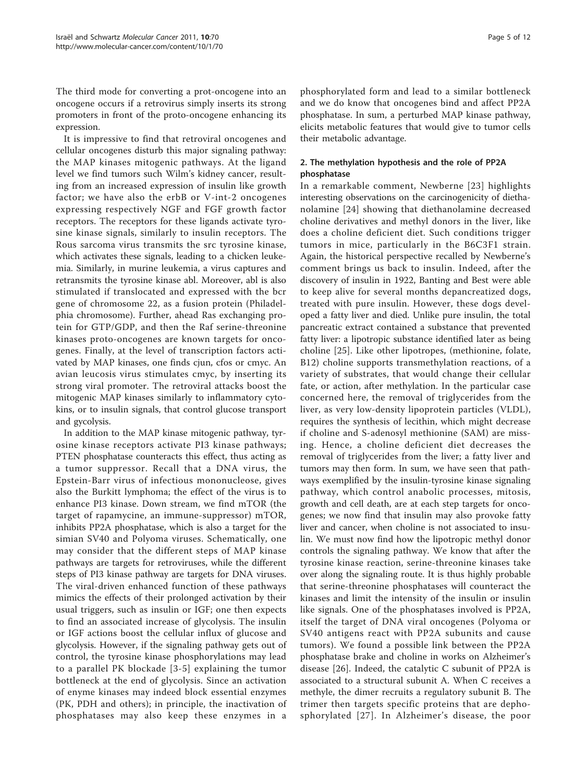The third mode for converting a prot-oncogene into an oncogene occurs if a retrovirus simply inserts its strong promoters in front of the proto-oncogene enhancing its expression.

It is impressive to find that retroviral oncogenes and cellular oncogenes disturb this major signaling pathway: the MAP kinases mitogenic pathways. At the ligand level we find tumors such Wilm's kidney cancer, resulting from an increased expression of insulin like growth factor; we have also the erbB or V-int-2 oncogenes expressing respectively NGF and FGF growth factor receptors. The receptors for these ligands activate tyrosine kinase signals, similarly to insulin receptors. The Rous sarcoma virus transmits the src tyrosine kinase, which activates these signals, leading to a chicken leukemia. Similarly, in murine leukemia, a virus captures and retransmits the tyrosine kinase abl. Moreover, abl is also stimulated if translocated and expressed with the bcr gene of chromosome 22, as a fusion protein (Philadelphia chromosome). Further, ahead Ras exchanging protein for GTP/GDP, and then the Raf serine-threonine kinases proto-oncogenes are known targets for oncogenes. Finally, at the level of transcription factors activated by MAP kinases, one finds cjun, cfos or cmyc. An avian leucosis virus stimulates cmyc, by inserting its strong viral promoter. The retroviral attacks boost the mitogenic MAP kinases similarly to inflammatory cytokins, or to insulin signals, that control glucose transport and gycolysis.

In addition to the MAP kinase mitogenic pathway, tyrosine kinase receptors activate PI3 kinase pathways; PTEN phosphatase counteracts this effect, thus acting as a tumor suppressor. Recall that a DNA virus, the Epstein-Barr virus of infectious mononucleose, gives also the Burkitt lymphoma; the effect of the virus is to enhance PI3 kinase. Down stream, we find mTOR (the target of rapamycine, an immune-suppressor) mTOR, inhibits PP2A phosphatase, which is also a target for the simian SV40 and Polyoma viruses. Schematically, one may consider that the different steps of MAP kinase pathways are targets for retroviruses, while the different steps of PI3 kinase pathway are targets for DNA viruses. The viral-driven enhanced function of these pathways mimics the effects of their prolonged activation by their usual triggers, such as insulin or IGF; one then expects to find an associated increase of glycolysis. The insulin or IGF actions boost the cellular influx of glucose and glycolysis. However, if the signaling pathway gets out of control, the tyrosine kinase phosphorylations may lead to a parallel PK blockade [[3](#page-9-0)-[5](#page-9-0)] explaining the tumor bottleneck at the end of glycolysis. Since an activation of enyme kinases may indeed block essential enzymes (PK, PDH and others); in principle, the inactivation of phosphatases may also keep these enzymes in a phosphorylated form and lead to a similar bottleneck and we do know that oncogenes bind and affect PP2A phosphatase. In sum, a perturbed MAP kinase pathway, elicits metabolic features that would give to tumor cells their metabolic advantage.

# 2. The methylation hypothesis and the role of PP2A phosphatase

In a remarkable comment, Newberne [[23](#page-9-0)] highlights interesting observations on the carcinogenicity of diethanolamine [\[24\]](#page-9-0) showing that diethanolamine decreased choline derivatives and methyl donors in the liver, like does a choline deficient diet. Such conditions trigger tumors in mice, particularly in the B6C3F1 strain. Again, the historical perspective recalled by Newberne's comment brings us back to insulin. Indeed, after the discovery of insulin in 1922, Banting and Best were able to keep alive for several months depancreatized dogs, treated with pure insulin. However, these dogs developed a fatty liver and died. Unlike pure insulin, the total pancreatic extract contained a substance that prevented fatty liver: a lipotropic substance identified later as being choline [[25](#page-9-0)]. Like other lipotropes, (methionine, folate, B12) choline supports transmethylation reactions, of a variety of substrates, that would change their cellular fate, or action, after methylation. In the particular case concerned here, the removal of triglycerides from the liver, as very low-density lipoprotein particles (VLDL), requires the synthesis of lecithin, which might decrease if choline and S-adenosyl methionine (SAM) are missing. Hence, a choline deficient diet decreases the removal of triglycerides from the liver; a fatty liver and tumors may then form. In sum, we have seen that pathways exemplified by the insulin-tyrosine kinase signaling pathway, which control anabolic processes, mitosis, growth and cell death, are at each step targets for oncogenes; we now find that insulin may also provoke fatty liver and cancer, when choline is not associated to insulin. We must now find how the lipotropic methyl donor controls the signaling pathway. We know that after the tyrosine kinase reaction, serine-threonine kinases take over along the signaling route. It is thus highly probable that serine-threonine phosphatases will counteract the kinases and limit the intensity of the insulin or insulin like signals. One of the phosphatases involved is PP2A, itself the target of DNA viral oncogenes (Polyoma or SV40 antigens react with PP2A subunits and cause tumors). We found a possible link between the PP2A phosphatase brake and choline in works on Alzheimer's disease [[26\]](#page-9-0). Indeed, the catalytic C subunit of PP2A is associated to a structural subunit A. When C receives a methyle, the dimer recruits a regulatory subunit B. The trimer then targets specific proteins that are dephosphorylated [[27](#page-9-0)]. In Alzheimer's disease, the poor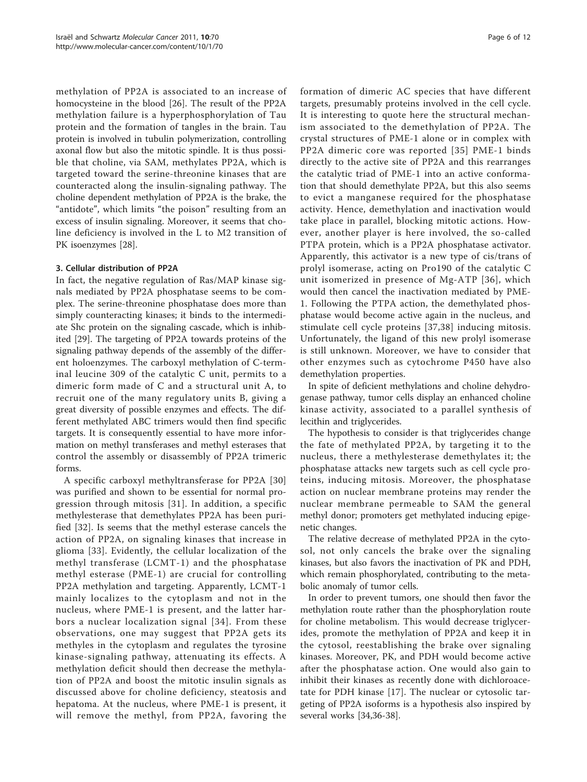methylation of PP2A is associated to an increase of homocysteine in the blood [[26\]](#page-9-0). The result of the PP2A methylation failure is a hyperphosphorylation of Tau protein and the formation of tangles in the brain. Tau protein is involved in tubulin polymerization, controlling axonal flow but also the mitotic spindle. It is thus possible that choline, via SAM, methylates PP2A, which is targeted toward the serine-threonine kinases that are counteracted along the insulin-signaling pathway. The choline dependent methylation of PP2A is the brake, the "antidote", which limits "the poison" resulting from an excess of insulin signaling. Moreover, it seems that choline deficiency is involved in the L to M2 transition of PK isoenzymes [\[28](#page-9-0)].

# 3. Cellular distribution of PP2A

In fact, the negative regulation of Ras/MAP kinase signals mediated by PP2A phosphatase seems to be complex. The serine-threonine phosphatase does more than simply counteracting kinases; it binds to the intermediate Shc protein on the signaling cascade, which is inhibited [[29](#page-9-0)]. The targeting of PP2A towards proteins of the signaling pathway depends of the assembly of the different holoenzymes. The carboxyl methylation of C-terminal leucine 309 of the catalytic C unit, permits to a dimeric form made of C and a structural unit A, to recruit one of the many regulatory units B, giving a great diversity of possible enzymes and effects. The different methylated ABC trimers would then find specific targets. It is consequently essential to have more information on methyl transferases and methyl esterases that control the assembly or disassembly of PP2A trimeric forms.

A specific carboxyl methyltransferase for PP2A [[30](#page-9-0)] was purified and shown to be essential for normal progression through mitosis [[31](#page-9-0)]. In addition, a specific methylesterase that demethylates PP2A has been purified [[32](#page-9-0)]. Is seems that the methyl esterase cancels the action of PP2A, on signaling kinases that increase in glioma [[33](#page-9-0)]. Evidently, the cellular localization of the methyl transferase (LCMT-1) and the phosphatase methyl esterase (PME-1) are crucial for controlling PP2A methylation and targeting. Apparently, LCMT-1 mainly localizes to the cytoplasm and not in the nucleus, where PME-1 is present, and the latter harbors a nuclear localization signal [[34\]](#page-9-0). From these observations, one may suggest that PP2A gets its methyles in the cytoplasm and regulates the tyrosine kinase-signaling pathway, attenuating its effects. A methylation deficit should then decrease the methylation of PP2A and boost the mitotic insulin signals as discussed above for choline deficiency, steatosis and hepatoma. At the nucleus, where PME-1 is present, it will remove the methyl, from PP2A, favoring the formation of dimeric AC species that have different targets, presumably proteins involved in the cell cycle. It is interesting to quote here the structural mechanism associated to the demethylation of PP2A. The crystal structures of PME-1 alone or in complex with PP2A dimeric core was reported [[35](#page-9-0)] PME-1 binds directly to the active site of PP2A and this rearranges the catalytic triad of PME-1 into an active conformation that should demethylate PP2A, but this also seems to evict a manganese required for the phosphatase activity. Hence, demethylation and inactivation would take place in parallel, blocking mitotic actions. However, another player is here involved, the so-called PTPA protein, which is a PP2A phosphatase activator. Apparently, this activator is a new type of cis/trans of prolyl isomerase, acting on Pro190 of the catalytic C unit isomerized in presence of Mg-ATP [[36\]](#page-9-0), which would then cancel the inactivation mediated by PME-1. Following the PTPA action, the demethylated phosphatase would become active again in the nucleus, and stimulate cell cycle proteins [[37,38](#page-9-0)] inducing mitosis. Unfortunately, the ligand of this new prolyl isomerase is still unknown. Moreover, we have to consider that other enzymes such as cytochrome P450 have also demethylation properties.

In spite of deficient methylations and choline dehydrogenase pathway, tumor cells display an enhanced choline kinase activity, associated to a parallel synthesis of lecithin and triglycerides.

The hypothesis to consider is that triglycerides change the fate of methylated PP2A, by targeting it to the nucleus, there a methylesterase demethylates it; the phosphatase attacks new targets such as cell cycle proteins, inducing mitosis. Moreover, the phosphatase action on nuclear membrane proteins may render the nuclear membrane permeable to SAM the general methyl donor; promoters get methylated inducing epigenetic changes.

The relative decrease of methylated PP2A in the cytosol, not only cancels the brake over the signaling kinases, but also favors the inactivation of PK and PDH, which remain phosphorylated, contributing to the metabolic anomaly of tumor cells.

In order to prevent tumors, one should then favor the methylation route rather than the phosphorylation route for choline metabolism. This would decrease triglycerides, promote the methylation of PP2A and keep it in the cytosol, reestablishing the brake over signaling kinases. Moreover, PK, and PDH would become active after the phosphatase action. One would also gain to inhibit their kinases as recently done with dichloroacetate for PDH kinase [[17\]](#page-9-0). The nuclear or cytosolic targeting of PP2A isoforms is a hypothesis also inspired by several works [\[34,36-38](#page-9-0)].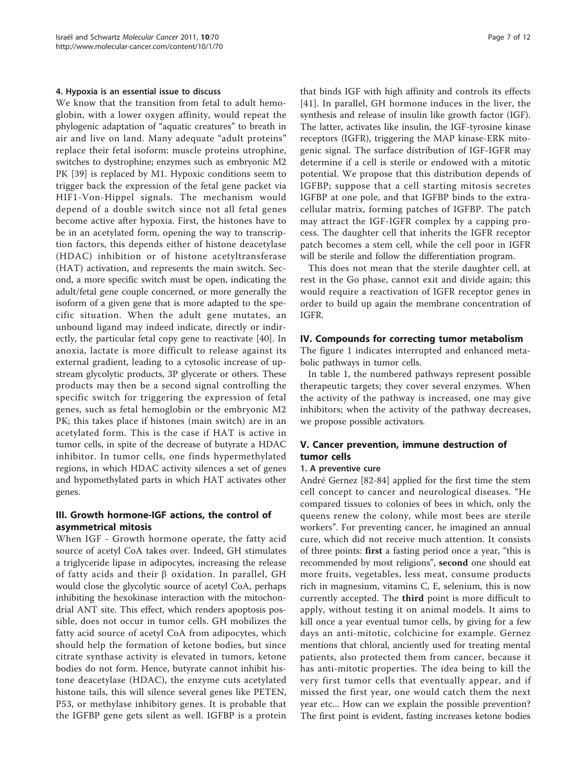### 4. Hypoxia is an essential issue to discuss

We know that the transition from fetal to adult hemoglobin, with a lower oxygen affinity, would repeat the phylogenic adaptation of "aquatic creatures" to breath in air and live on land. Many adequate "adult proteins" replace their fetal isoform: muscle proteins utrophine, switches to dystrophine; enzymes such as embryonic M2 PK [[39](#page-10-0)] is replaced by M1. Hypoxic conditions seem to trigger back the expression of the fetal gene packet via HIF1-Von-Hippel signals. The mechanism would depend of a double switch since not all fetal genes become active after hypoxia. First, the histones have to be in an acetylated form, opening the way to transcription factors, this depends either of histone deacetylase (HDAC) inhibition or of histone acetyltransferase (HAT) activation, and represents the main switch. Second, a more specific switch must be open, indicating the adult/fetal gene couple concerned, or more generally the isoform of a given gene that is more adapted to the specific situation. When the adult gene mutates, an unbound ligand may indeed indicate, directly or indirectly, the particular fetal copy gene to reactivate [\[40](#page-10-0)]. In anoxia, lactate is more difficult to release against its external gradient, leading to a cytosolic increase of upstream glycolytic products, 3P glycerate or others. These products may then be a second signal controlling the specific switch for triggering the expression of fetal genes, such as fetal hemoglobin or the embryonic M2 PK; this takes place if histones (main switch) are in an acetylated form. This is the case if HAT is active in tumor cells, in spite of the decrease of butyrate a HDAC inhibitor. In tumor cells, one finds hypermethylated regions, in which HDAC activity silences a set of genes and hypomethylated parts in which HAT activates other genes.

# III. Growth hormone-IGF actions, the control of asymmetrical mitosis

When IGF - Growth hormone operate, the fatty acid source of acetyl CoA takes over. Indeed, GH stimulates a triglyceride lipase in adipocytes, increasing the release of fatty acids and their  $\beta$  oxidation. In parallel, GH would close the glycolytic source of acetyl CoA, perhaps inhibiting the hexokinase interaction with the mitochondrial ANT site. This effect, which renders apoptosis possible, does not occur in tumor cells. GH mobilizes the fatty acid source of acetyl CoA from adipocytes, which should help the formation of ketone bodies, but since citrate synthase activity is elevated in tumors, ketone bodies do not form. Hence, butyrate cannot inhibit histone deacetylase (HDAC), the enzyme cuts acetylated histone tails, this will silence several genes like PETEN, P53, or methylase inhibitory genes. It is probable that the IGFBP gene gets silent as well. IGFBP is a protein

that binds IGF with high affinity and controls its effects [[41](#page-10-0)]. In parallel, GH hormone induces in the liver, the synthesis and release of insulin like growth factor (IGF). The latter, activates like insulin, the IGF-tyrosine kinase receptors (IGFR), triggering the MAP kinase-ERK mitogenic signal. The surface distribution of IGF-IGFR may determine if a cell is sterile or endowed with a mitotic potential. We propose that this distribution depends of IGFBP; suppose that a cell starting mitosis secretes IGFBP at one pole, and that IGFBP binds to the extracellular matrix, forming patches of IGFBP. The patch may attract the IGF-IGFR complex by a capping process. The daughter cell that inherits the IGFR receptor patch becomes a stem cell, while the cell poor in IGFR will be sterile and follow the differentiation program.

This does not mean that the sterile daughter cell, at rest in the Go phase, cannot exit and divide again; this would require a reactivation of IGFR receptor genes in order to build up again the membrane concentration of IGFR.

# IV. Compounds for correcting tumor metabolism

The figure [1](#page-3-0) indicates interrupted and enhanced metabolic pathways in tumor cells.

In table [1](#page-7-0), the numbered pathways represent possible therapeutic targets; they cover several enzymes. When the activity of the pathway is increased, one may give inhibitors; when the activity of the pathway decreases, we propose possible activators.

# V. Cancer prevention, immune destruction of tumor cells

### 1. A preventive cure

André Gernez [\[82-](#page-10-0)[84](#page-11-0)] applied for the first time the stem cell concept to cancer and neurological diseases. "He compared tissues to colonies of bees in which, only the queens renew the colony, while most bees are sterile workers". For preventing cancer, he imagined an annual cure, which did not receive much attention. It consists of three points: first a fasting period once a year, "this is recommended by most religions", second one should eat more fruits, vegetables, less meat, consume products rich in magnesium, vitamins C, E, selenium, this is now currently accepted. The third point is more difficult to apply, without testing it on animal models. It aims to kill once a year eventual tumor cells, by giving for a few days an anti-mitotic, colchicine for example. Gernez mentions that chloral, anciently used for treating mental patients, also protected them from cancer, because it has anti-mitotic properties. The idea being to kill the very first tumor cells that eventually appear, and if missed the first year, one would catch them the next year etc... How can we explain the possible prevention? The first point is evident, fasting increases ketone bodies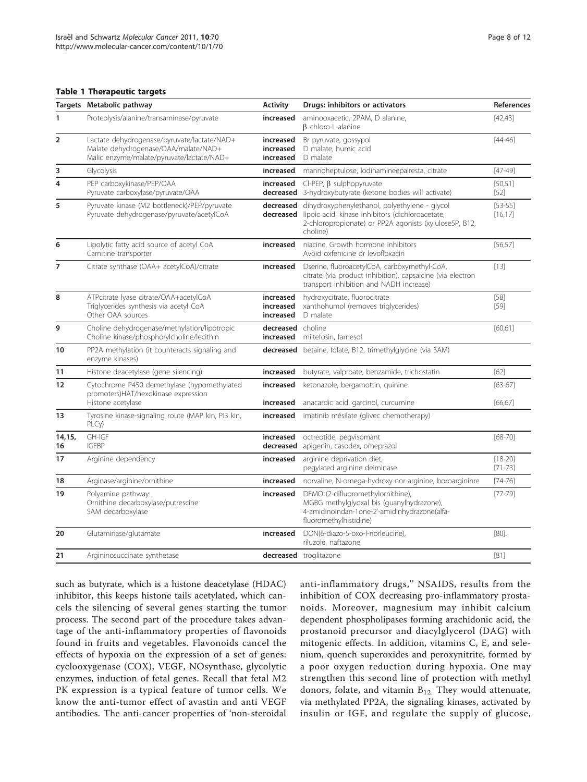#### <span id="page-7-0"></span>Table 1 Therapeutic targets

|                | Targets Metabolic pathway                                                                                                        | <b>Activity</b>                     | Drugs: inhibitors or activators                                                                                                                                         | <b>References</b>          |
|----------------|----------------------------------------------------------------------------------------------------------------------------------|-------------------------------------|-------------------------------------------------------------------------------------------------------------------------------------------------------------------------|----------------------------|
| 1              | Proteolysis/alanine/transaminase/pyruvate                                                                                        | increased                           | aminooxacetic, 2PAM, D alanine,<br>$\beta$ chloro-L-alanine                                                                                                             | [42, 43]                   |
| $\overline{2}$ | Lactate dehydrogenase/pyruvate/lactate/NAD+<br>Malate dehydrogenase/OAA/malate/NAD+<br>Malic enzyme/malate/pyruvate/lactate/NAD+ | increased<br>increased<br>increased | Br pyruvate, gossypol<br>D malate, humic acid<br>D malate                                                                                                               | $[44 - 46]$                |
| 3              | Glycolysis                                                                                                                       | increased                           | mannoheptulose, lodinamineepalresta, citrate                                                                                                                            | $[47 - 49]$                |
| $\overline{4}$ | PEP carboxykinase/PEP/OAA<br>Pyruvate carboxylase/pyruvate/OAA                                                                   | increased<br>decreased              | $CI-PEP, \beta$ sulphopyruvate<br>3-hydroxybutyrate (ketone bodies will activate)                                                                                       | [50, 51]<br>$[52]$         |
| 5              | Pyruvate kinase (M2 bottleneck)/PEP/pyruvate<br>Pyruvate dehydrogenase/pyruvate/acetylCoA                                        | decreased<br>decreased              | dihydroxyphenylethanol, polyethylene - glycol<br>lipoic acid, kinase inhibitors (dichloroacetate,<br>2-chloropropionate) or PP2A agonists (xylulose5P, B12,<br>choline) | $[53 - 55]$<br>[16, 17]    |
| 6              | Lipolytic fatty acid source of acetyl CoA<br>Carnitine transporter                                                               | increased                           | niacine, Growth hormone inhibitors<br>Avoid oxfenicine or levofloxacin                                                                                                  | [56, 57]                   |
| $\overline{7}$ | Citrate synthase (OAA+ acetylCoA)/citrate                                                                                        | increased                           | Dserine, fluoroacetylCoA, carboxymethyl-CoA,<br>citrate (via product inhibition), capsaicine (via electron<br>transport inhibition and NADH increase)                   | $[13]$                     |
| 8              | ATPcitrate lyase citrate/OAA+acetylCoA<br>Triglycerides synthesis via acetyl CoA<br>Other OAA sources                            | increased<br>increased<br>increased | hydroxycitrate, fluorocitrate<br>xanthohumol (removes triglycerides)<br>D malate                                                                                        | $[58]$<br>$[59]$           |
| 9              | Choline dehydrogenase/methylation/lipotropic<br>Choline kinase/phosphorylcholine/lecithin                                        | decreased<br>increased              | choline<br>miltefosin, farnesol                                                                                                                                         | [60, 61]                   |
| 10             | PP2A methylation (it counteracts signaling and<br>enzyme kinases)                                                                | decreased                           | betaine, folate, B12, trimethylglycine (via SAM)                                                                                                                        |                            |
| 11             | Histone deacetylase (gene silencing)                                                                                             | increased                           | butyrate, valproate, benzamide, trichostatin                                                                                                                            | [62]                       |
| 12             | Cytochrome P450 demethylase (hypomethylated<br>promoters)HAT/hexokinase expression                                               | increased                           | ketonazole, bergamottin, quinine                                                                                                                                        | $[63 - 67]$                |
|                | Histone acetylase                                                                                                                | increased                           | anacardic acid, garcinol, curcumine                                                                                                                                     | [66, 67]                   |
| 13             | Tyrosine kinase-signaling route (MAP kin, PI3 kin,<br>$PLC\gamma)$                                                               | increased                           | imatinib mésilate (glivec chemotherapy)                                                                                                                                 |                            |
| 14,15,<br>16   | GH-IGF<br><b>IGFBP</b>                                                                                                           | increased<br>decreased              | octreotide, pegvisomant<br>apigenin, casodex, omeprazol                                                                                                                 | $[68 - 70]$                |
| 17             | Arginine dependency                                                                                                              | increased                           | arginine deprivation diet,<br>pegylated arginine deiminase                                                                                                              | $[18 - 20]$<br>$[71 - 73]$ |
| 18             | Arginase/arginine/ornithine                                                                                                      | increased                           | norvaline, N-omega-hydroxy-nor-arginine, boroargininre                                                                                                                  | $[74 - 76]$                |
| 19             | Polyamine pathway:<br>Ornithine decarboxylase/putrescine<br>SAM decarboxylase                                                    | increased                           | DFMO (2-difluoromethylornithine),<br>MGBG methylglyoxal bis (quanylhydrazone),<br>4-amidinoindan-1one-2'-amidinhydrazone(alfa-<br>fluoromethylhistidine)                | $[77 - 79]$                |
| 20             | Glutaminase/glutamate                                                                                                            | increased                           | DON(6-diazo-5-oxo-l-norleucine),<br>riluzole, naftazone                                                                                                                 | $[80]$ .                   |
| 21             | Argininosuccinate synthetase                                                                                                     |                                     | decreased troglitazone                                                                                                                                                  | $[81]$                     |

such as butyrate, which is a histone deacetylase (HDAC) inhibitor, this keeps histone tails acetylated, which cancels the silencing of several genes starting the tumor process. The second part of the procedure takes advantage of the anti-inflammatory properties of flavonoids found in fruits and vegetables. Flavonoids cancel the effects of hypoxia on the expression of a set of genes: cyclooxygenase (COX), VEGF, NOsynthase, glycolytic enzymes, induction of fetal genes. Recall that fetal M2 PK expression is a typical feature of tumor cells. We know the anti-tumor effect of avastin and anti VEGF antibodies. The anti-cancer properties of 'non-steroidal anti-inflammatory drugs,'' NSAIDS, results from the inhibition of COX decreasing pro-inflammatory prostanoids. Moreover, magnesium may inhibit calcium dependent phospholipases forming arachidonic acid, the prostanoid precursor and diacylglycerol (DAG) with mitogenic effects. In addition, vitamins C, E, and selenium, quench superoxides and peroxynitrite, formed by a poor oxygen reduction during hypoxia. One may strengthen this second line of protection with methyl donors, folate, and vitamin  $B_{12}$ . They would attenuate, via methylated PP2A, the signaling kinases, activated by insulin or IGF, and regulate the supply of glucose,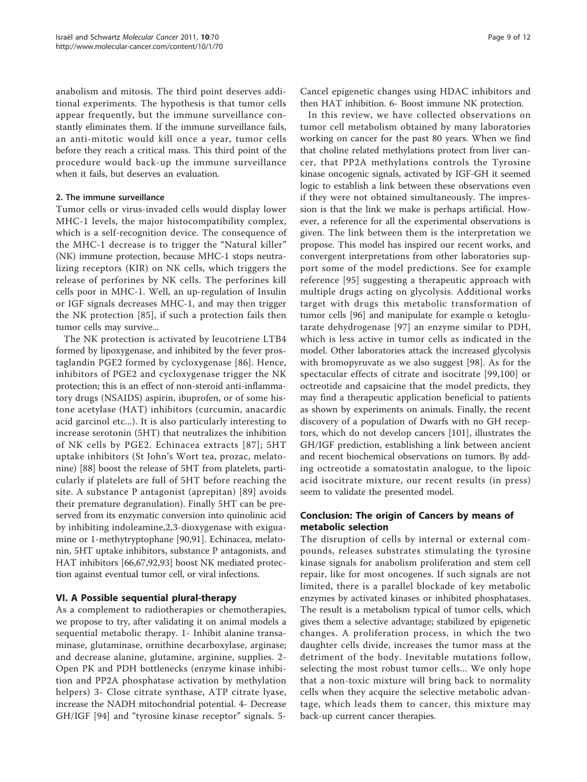anabolism and mitosis. The third point deserves additional experiments. The hypothesis is that tumor cells appear frequently, but the immune surveillance constantly eliminates them. If the immune surveillance fails, an anti-mitotic would kill once a year, tumor cells before they reach a critical mass. This third point of the procedure would back-up the immune surveillance when it fails, but deserves an evaluation.

# 2. The immune surveillance

Tumor cells or virus-invaded cells would display lower MHC-1 levels, the major histocompatibility complex, which is a self-recognition device. The consequence of the MHC-1 decrease is to trigger the "Natural killer" (NK) immune protection, because MHC-1 stops neutralizing receptors (KIR) on NK cells, which triggers the release of perforines by NK cells. The perforines kill cells poor in MHC-1. Well, an up-regulation of Insulin or IGF signals decreases MHC-1, and may then trigger the NK protection [[85](#page-11-0)], if such a protection fails then tumor cells may survive...

The NK protection is activated by leucotriene LTB4 formed by lipoxygenase, and inhibited by the fever prostaglandin PGE2 formed by cycloxygenase [[86\]](#page-11-0). Hence, inhibitors of PGE2 and cycloxygenase trigger the NK protection; this is an effect of non-steroid anti-inflammatory drugs (NSAIDS) aspirin, ibuprofen, or of some histone acetylase (HAT) inhibitors (curcumin, anacardic acid garcinol etc...). It is also particularly interesting to increase serotonin (5HT) that neutralizes the inhibition of NK cells by PGE2. Echinacea extracts [[87\]](#page-11-0); 5HT uptake inhibitors (St John's Wort tea, prozac, melatonine) [[88\]](#page-11-0) boost the release of 5HT from platelets, particularly if platelets are full of 5HT before reaching the site. A substance P antagonist (aprepitan) [[89\]](#page-11-0) avoids their premature degranulation). Finally 5HT can be preserved from its enzymatic conversion into quinolinic acid by inhibiting indoleamine,2,3-dioxygenase with exiguamine or 1-methytryptophane [\[90,91](#page-11-0)]. Echinacea, melatonin, 5HT uptake inhibitors, substance P antagonists, and HAT inhibitors [\[66,67](#page-10-0)[,92,93](#page-11-0)] boost NK mediated protection against eventual tumor cell, or viral infections.

# VI. A Possible sequential plural-therapy

As a complement to radiotherapies or chemotherapies, we propose to try, after validating it on animal models a sequential metabolic therapy. 1- Inhibit alanine transaminase, glutaminase, ornithine decarboxylase, arginase; and decrease alanine, glutamine, arginine, supplies. 2- Open PK and PDH bottlenecks (enzyme kinase inhibition and PP2A phosphatase activation by methylation helpers) 3- Close citrate synthase, ATP citrate lyase, increase the NADH mitochondrial potential. 4- Decrease GH/IGF [\[94\]](#page-11-0) and "tyrosine kinase receptor" signals. 5Cancel epigenetic changes using HDAC inhibitors and then HAT inhibition. 6- Boost immune NK protection.

In this review, we have collected observations on tumor cell metabolism obtained by many laboratories working on cancer for the past 80 years. When we find that choline related methylations protect from liver cancer, that PP2A methylations controls the Tyrosine kinase oncogenic signals, activated by IGF-GH it seemed logic to establish a link between these observations even if they were not obtained simultaneously. The impression is that the link we make is perhaps artificial. However, a reference for all the experimental observations is given. The link between them is the interpretation we propose. This model has inspired our recent works, and convergent interpretations from other laboratories support some of the model predictions. See for example reference [\[95\]](#page-11-0) suggesting a therapeutic approach with multiple drugs acting on glycolysis. Additional works target with drugs this metabolic transformation of tumor cells [\[96](#page-11-0)] and manipulate for example  $\alpha$  ketoglutarate dehydrogenase [[97\]](#page-11-0) an enzyme similar to PDH, which is less active in tumor cells as indicated in the model. Other laboratories attack the increased glycolysis with bromopyruvate as we also suggest [[98\]](#page-11-0). As for the spectacular effects of citrate and isocitrate [[99,100\]](#page-11-0) or octreotide and capsaicine that the model predicts, they may find a therapeutic application beneficial to patients as shown by experiments on animals. Finally, the recent discovery of a population of Dwarfs with no GH receptors, which do not develop cancers [\[101](#page-11-0)], illustrates the GH/IGF prediction, establishing a link between ancient and recent biochemical observations on tumors. By adding octreotide a somatostatin analogue, to the lipoic acid isocitrate mixture, our recent results (in press) seem to validate the presented model.

# Conclusion: The origin of Cancers by means of metabolic selection

The disruption of cells by internal or external compounds, releases substrates stimulating the tyrosine kinase signals for anabolism proliferation and stem cell repair, like for most oncogenes. If such signals are not limited, there is a parallel blockade of key metabolic enzymes by activated kinases or inhibited phosphatases. The result is a metabolism typical of tumor cells, which gives them a selective advantage; stabilized by epigenetic changes. A proliferation process, in which the two daughter cells divide, increases the tumor mass at the detriment of the body. Inevitable mutations follow, selecting the most robust tumor cells... We only hope that a non-toxic mixture will bring back to normality cells when they acquire the selective metabolic advantage, which leads them to cancer, this mixture may back-up current cancer therapies.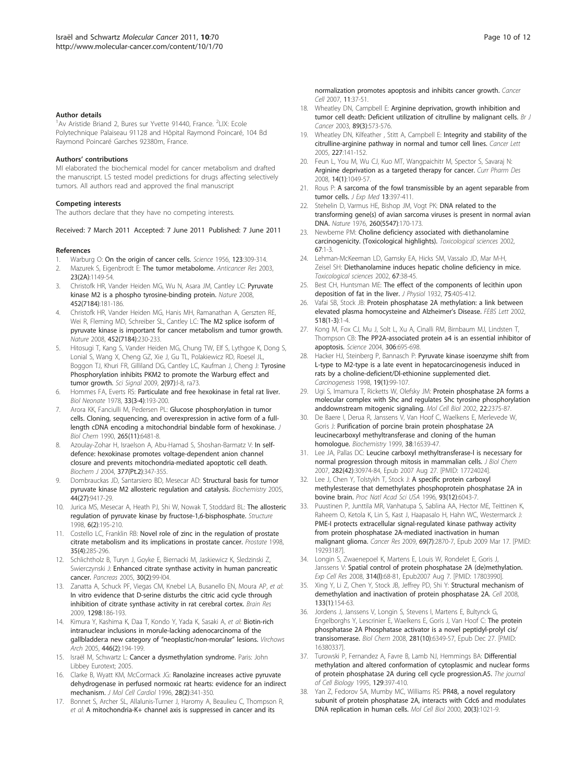#### <span id="page-9-0"></span>Author details

<sup>1</sup>Av Aristide Briand 2, Bures sur Yvette 91440, France. <sup>2</sup>LIX: Ecole Polytechnique Palaiseau 91128 and Hôpital Raymond Poincaré, 104 Bd Raymond Poincaré Garches 92380m, France.

#### Authors' contributions

MI elaborated the biochemical model for cancer metabolism and drafted the manuscript. LS tested model predictions for drugs affecting selectively tumors. All authors read and approved the final manuscript

#### Competing interests

The authors declare that they have no competing interests.

#### Received: 7 March 2011 Accepted: 7 June 2011 Published: 7 June 2011

#### References

- Warburg O: [On the origin of cancer cells.](http://www.ncbi.nlm.nih.gov/pubmed/13298683?dopt=Abstract) Science 1956, 123:309-314.
- 2. Mazurek S, Eigenbrodt E: [The tumor metabolome.](http://www.ncbi.nlm.nih.gov/pubmed/12820363?dopt=Abstract) Anticancer Res 2003, 23(2A):1149-54.
- Christofk HR, Vander Heiden MG, Wu N, Asara JM, Cantley LC: [Pyruvate](http://www.ncbi.nlm.nih.gov/pubmed/18337815?dopt=Abstract) [kinase M2 is a phospho tyrosine-binding protein.](http://www.ncbi.nlm.nih.gov/pubmed/18337815?dopt=Abstract) Nature 2008, 452(7184):181-186.
- 4. Christofk HR, Vander Heiden MG, Hanis MH, Ramanathan A, Gerszten RE, Wei R, Fleming MD, Schreiber SL, Cantley LC: [The M2 splice isoform of](http://www.ncbi.nlm.nih.gov/pubmed/18337823?dopt=Abstract) [pyruvate kinase is important for cancer metabolism and tumor growth.](http://www.ncbi.nlm.nih.gov/pubmed/18337823?dopt=Abstract) Nature 2008, 452(7184):230-233.
- 5. Hitosugi T, Kang S, Vander Heiden MG, Chung TW, Elf S, Lythgoe K, Dong S, Lonial S, Wang X, Cheng GZ, Xie J, Gu TL, Polakiewicz RD, Roesel JL, Boggon TJ, Khuri FR, Gilliland DG, Cantley LC, Kaufman J, Cheng J: Tyrosine Phosphorylation inhibits PKM2 to promote the Warburg effect and tumor growth. Sci Signal 2009, 2(97):l-8, ra73.
- 6. Hommes FA, Everts RS: [Particulate and free hexokinase in fetal rat liver.](http://www.ncbi.nlm.nih.gov/pubmed/678602?dopt=Abstract) Biol Neonate 1978, 33(3-4):193-200.
- 7. Arora KK, Fanciulli M, Pedersen PL: [Glucose phosphorylation in tumor](http://www.ncbi.nlm.nih.gov/pubmed/2318862?dopt=Abstract) [cells. Cloning, sequencing, and overexpression in active form of a full](http://www.ncbi.nlm.nih.gov/pubmed/2318862?dopt=Abstract)[length cDNA encoding a mitochondrial bindable form of hexokinase.](http://www.ncbi.nlm.nih.gov/pubmed/2318862?dopt=Abstract) J Biol Chem 1990, 265(11):6481-8.
- Azoulay-Zohar H, Israelson A, Abu-Hamad S, Shoshan-Barmatz V: [In self](http://www.ncbi.nlm.nih.gov/pubmed/14561215?dopt=Abstract)[defence: hexokinase promotes voltage-dependent anion channel](http://www.ncbi.nlm.nih.gov/pubmed/14561215?dopt=Abstract) [closure and prevents mitochondria-mediated apoptotic cell death.](http://www.ncbi.nlm.nih.gov/pubmed/14561215?dopt=Abstract) Biochem J 2004, 377(Pt.2):347-355.
- 9. Dombrauckas JD, Santarsiero BD, Mesecar AD: [Structural basis for tumor](http://www.ncbi.nlm.nih.gov/pubmed/15996096?dopt=Abstract) [pyruvate kinase M2 allosteric regulation and catalysis.](http://www.ncbi.nlm.nih.gov/pubmed/15996096?dopt=Abstract) Biochemistry 2005, 44(27):9417-29.
- 10. Jurica MS, Mesecar A, Heath PJ, Shi W, Nowak T, Stoddard BL: [The allosteric](http://www.ncbi.nlm.nih.gov/pubmed/9519410?dopt=Abstract) [regulation of pyruvate kinase by fructose-1,6-bisphosphate.](http://www.ncbi.nlm.nih.gov/pubmed/9519410?dopt=Abstract) Structure 1998, 6(2):195-210.
- 11. Costello LC, Franklin RB: [Novel role of zinc in the regulation of prostate](http://www.ncbi.nlm.nih.gov/pubmed/9609552?dopt=Abstract) [citrate metabolism and its implications in prostate cancer.](http://www.ncbi.nlm.nih.gov/pubmed/9609552?dopt=Abstract) Prostate 1998, 35(4):285-296.
- 12. Schlichtholz B, Turyn J, Goyke E, Biernacki M, Jaskiewicz K, Sledzinski Z, Swierczynski J: [Enhanced citrate synthase activity in human pancreatic](http://www.ncbi.nlm.nih.gov/pubmed/15714131?dopt=Abstract) [cancer.](http://www.ncbi.nlm.nih.gov/pubmed/15714131?dopt=Abstract) Pancreas 2005, 30(2):99-l04.
- 13. Zanatta A, Schuck PF, Viegas CM, Knebel LA, Busanello EN, Moura AP, et al: [In vitro evidence that D-serine disturbs the citric acid cycle through](http://www.ncbi.nlm.nih.gov/pubmed/19733154?dopt=Abstract) [inhibition of citrate synthase activity in rat cerebral cortex.](http://www.ncbi.nlm.nih.gov/pubmed/19733154?dopt=Abstract) Brain Res 2009, 1298:186-193.
- 14. Kimura Y, Kashima K, Daa T, Kondo Y, Yada K, Sasaki A, et al: [Biotin-rich](http://www.ncbi.nlm.nih.gov/pubmed/15647941?dopt=Abstract) [intranuclear inclusions in morule-lacking adenocarcinoma of the](http://www.ncbi.nlm.nih.gov/pubmed/15647941?dopt=Abstract) [gallbladder:a new category of](http://www.ncbi.nlm.nih.gov/pubmed/15647941?dopt=Abstract) "neoplastic/non-morular" lesions. Virchows Arch 2005, 446(2):194-199.
- 15. Israël M, Schwartz L: Cancer a dysmethylation syndrome. Paris: John Libbey Eurotext; 2005.
- 16. Clarke B, Wyatt KM, McCormack JG: [Ranolazine increases active pyruvate](http://www.ncbi.nlm.nih.gov/pubmed/8729066?dopt=Abstract) [dehydrogenase in perfused normoxic rat hearts: evidence for an indirect](http://www.ncbi.nlm.nih.gov/pubmed/8729066?dopt=Abstract) [mechanism.](http://www.ncbi.nlm.nih.gov/pubmed/8729066?dopt=Abstract) J Mol Cell Cardiol 1996, 28(2):341-350.
- 17. Bonnet S, Archer SL, Allalunis-Turner J, Haromy A, Beaulieu C, Thompson R, et al: [A mitochondria-K+ channel axis is suppressed in cancer and its](http://www.ncbi.nlm.nih.gov/pubmed/17222789?dopt=Abstract)

[normalization promotes apoptosis and inhibits cancer growth.](http://www.ncbi.nlm.nih.gov/pubmed/17222789?dopt=Abstract) Cancer Cell 2007, 11:37-51.

- 18. Wheatley DN, Campbell E: [Arginine deprivation, growth inhibition and](http://www.ncbi.nlm.nih.gov/pubmed/12888832?dopt=Abstract) [tumor cell death: Deficient utilization of citrulline by malignant cells.](http://www.ncbi.nlm.nih.gov/pubmed/12888832?dopt=Abstract) Br J Cancer 2003, 89(3):573-576.
- 19. Wheatley DN, Kilfeather, Stitt A, Campbell E: [Integrity and stability of the](http://www.ncbi.nlm.nih.gov/pubmed/16112417?dopt=Abstract) [citrulline-arginine pathway in normal and tumor cell lines.](http://www.ncbi.nlm.nih.gov/pubmed/16112417?dopt=Abstract) Cancer Lett 2005, 227:141-152.
- 20. Feun L, You M, Wu CJ, Kuo MT, Wangpaichitr M, Spector S, Savaraj N: [Arginine deprivation as a targeted therapy for cancer.](http://www.ncbi.nlm.nih.gov/pubmed/18473854?dopt=Abstract) Curr Pharm Des 2008, 14(1):1049-57.
- 21. Rous P: A sarcoma of the fowl transmissible by an agent separable from tumor cells. *J Exp Med* 13:397-411
- 22. Stehelin D, Varmus HE, Bishop JM, Vogt PK: [DNA related to the](http://www.ncbi.nlm.nih.gov/pubmed/176594?dopt=Abstract) [transforming gene\(s\) of avian sarcoma viruses is present in normal avian](http://www.ncbi.nlm.nih.gov/pubmed/176594?dopt=Abstract) [DNA.](http://www.ncbi.nlm.nih.gov/pubmed/176594?dopt=Abstract) Nature 1976, 260(5547):170-173.
- 23. Newbeme PM: [Choline deficiency associated with diethanolamine](http://www.ncbi.nlm.nih.gov/pubmed/11961209?dopt=Abstract) [carcinogenicity. \(Toxicological highlights\).](http://www.ncbi.nlm.nih.gov/pubmed/11961209?dopt=Abstract) Toxicological sciences 2002, 67:1-3.
- 24. Lehman-McKeeman LD, Gamsky EA, Hicks SM, Vassalo JD, Mar M-H, Zeisel SH: [Diethanolamine induces hepatic choline deficiency in mice.](http://www.ncbi.nlm.nih.gov/pubmed/11961214?dopt=Abstract) Toxicological sciences 2002, 67:38-45.
- 25. Best CH, Huntsman ME: [The effect of the components of lecithin upon](http://www.ncbi.nlm.nih.gov/pubmed/16994325?dopt=Abstract) [deposition of fat in the liver.](http://www.ncbi.nlm.nih.gov/pubmed/16994325?dopt=Abstract) J Physiol 1932, 75:405-412.
- 26. Vafai SB, Stock JB: [Protein phosphatase 2A methylation: a link between](http://www.ncbi.nlm.nih.gov/pubmed/11997007?dopt=Abstract) [elevated plasma homocysteine and Alzheimer](http://www.ncbi.nlm.nih.gov/pubmed/11997007?dopt=Abstract)'s Disease. FEBS Lett 2002, 518(1-3):1-4.
- 27. Kong M, Fox CJ, Mu J, Solt L, Xu A, Cinalli RM, Birnbaum MJ, Lindsten T, Thompson CB: [The PP2A-associated protein a4 is an essential inhibitor of](http://www.ncbi.nlm.nih.gov/pubmed/15499020?dopt=Abstract) [apoptosis.](http://www.ncbi.nlm.nih.gov/pubmed/15499020?dopt=Abstract) Science 2004, 306:695-698.
- 28. Hacker HJ, Steinberg P, Bannasch P: Pyruvate kinase [isoenzyme shift from](http://www.ncbi.nlm.nih.gov/pubmed/9472700?dopt=Abstract) [L-type to M2-type is a late event in hepatocarcinogenesis induced in](http://www.ncbi.nlm.nih.gov/pubmed/9472700?dopt=Abstract) [rats by a choline-deficient/Dl-ethionine supplemented diet.](http://www.ncbi.nlm.nih.gov/pubmed/9472700?dopt=Abstract) Carcinogenesis 1998, 19(1):99-107.
- 29. Ugi S, Imamura T, Ricketts W, Olefsky JM: [Protein phosphatase 2A forms a](http://www.ncbi.nlm.nih.gov/pubmed/11884620?dopt=Abstract) [molecular complex with Shc and regulates Shc tyrosine phosphorylation](http://www.ncbi.nlm.nih.gov/pubmed/11884620?dopt=Abstract) [anddownstream mitogenic signaling.](http://www.ncbi.nlm.nih.gov/pubmed/11884620?dopt=Abstract) Mol Cell Biol 2002, 22:2375-87.
- 30. De Baere I, Derua R, Janssens V, Van Hoof C, Waelkens E, Merlevede W, Goris J: [Purification of porcine brain protein phosphatase 2A](http://www.ncbi.nlm.nih.gov/pubmed/10600115?dopt=Abstract) [leucinecarboxyl methyltransferase and cloning of the human](http://www.ncbi.nlm.nih.gov/pubmed/10600115?dopt=Abstract) [homologue.](http://www.ncbi.nlm.nih.gov/pubmed/10600115?dopt=Abstract) Biochemistry 1999, 38:16539-47.
- 31. Lee JA, Pallas DC: Leucine carboxyl methyltransferase-I is necessary for [normal progression through mitosis in mammalian cells.](http://www.ncbi.nlm.nih.gov/pubmed/17724024?dopt=Abstract) J Biol Chem 2007, 282(42):30974-84, Epub 2007 Aug 27. [PMID: 17724024].
- 32. Lee J, Chen Y, Tolstykh T, Stock J: [A specific protein carboxyl](http://www.ncbi.nlm.nih.gov/pubmed/8650216?dopt=Abstract) [methylesterase that demethylates phosphoprotein phosphatase 2A in](http://www.ncbi.nlm.nih.gov/pubmed/8650216?dopt=Abstract) [bovine brain.](http://www.ncbi.nlm.nih.gov/pubmed/8650216?dopt=Abstract) Proc Natl Acad Sci USA 1996, 93(12):6043-7.
- 33. Puustinen P, Junttila MR, Vanhatupa S, Sablina AA, Hector ME, Teittinen K, Raheem O, Ketola K, Lin S, Kast J, Haapasalo H, Hahn WC, Westermarck J: [PME-I protects extracellular signal-regulated kinase pathway activity](http://www.ncbi.nlm.nih.gov/pubmed/19293187?dopt=Abstract) [from protein phosphatase 2A-mediated inactivation in human](http://www.ncbi.nlm.nih.gov/pubmed/19293187?dopt=Abstract) [malignant glioma.](http://www.ncbi.nlm.nih.gov/pubmed/19293187?dopt=Abstract) Cancer Res 2009, 69(7):2870-7, Epub 2009 Mar 17. [PMID: 19293187].
- 34. Longin S, Zwaenepoel K, Martens E, Louis W, Rondelet E, Goris J, Janssens V: [Spatial control of protein phosphatase 2A \(de\)methylation.](http://www.ncbi.nlm.nih.gov/pubmed/17803990?dopt=Abstract) Exp Cell Res 2008, 314(l):68-81, Epub2007 Aug 7. [PMID: 17803990].
- 35. Xing Y, Li Z, Chen Y, Stock JB, Jeffrey PD, Shi Y: [Structural mechanism of](http://www.ncbi.nlm.nih.gov/pubmed/18394995?dopt=Abstract) [demethylation and inactivation of protein phosphatase 2A.](http://www.ncbi.nlm.nih.gov/pubmed/18394995?dopt=Abstract) Cell 2008, 133(1):154-63.
- 36. Jordens J, Janssens V, Longin S, Stevens I, Martens E, Bultynck G, Engelborghs Y, Lescrinier E, Waelkens E, Goris J, Van Hoof C: The protein phosphatase 2A Phosphatase activator is a novel peptidyl-prolyl cis/ transisomerase. Biol Chem 2008, 281(10):6349-57, Epub Dec 27. [PMID: 16380337].
- 37. Turowski P, Fernandez A, Favre B, Lamb NJ, Hemmings BA: [Differential](http://www.ncbi.nlm.nih.gov/pubmed/7721943?dopt=Abstract) [methylation and altered conformation of cytoplasmic and nuclear forms](http://www.ncbi.nlm.nih.gov/pubmed/7721943?dopt=Abstract) [of protein phosphatase 2A during cell cycle progression.A5.](http://www.ncbi.nlm.nih.gov/pubmed/7721943?dopt=Abstract) The journal of Cell Biology 1995, 129:397-410.
- 38. Yan Z, Fedorov SA, Mumby MC, Williams RS: [PR48, a novel regulatory](http://www.ncbi.nlm.nih.gov/pubmed/10629059?dopt=Abstract) [subunit of protein phosphatase 2A, interacts with Cdc6 and modulates](http://www.ncbi.nlm.nih.gov/pubmed/10629059?dopt=Abstract) [DNA replication in human cells.](http://www.ncbi.nlm.nih.gov/pubmed/10629059?dopt=Abstract) Mol Cell Biol 2000, 20(3):1021-9.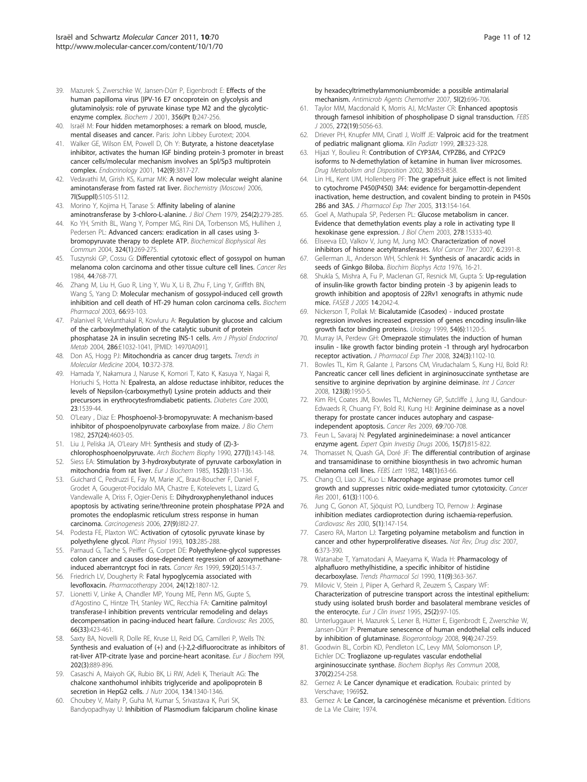- <span id="page-10-0"></span>39. Mazurek S, Zwerschke W, Jansen-Dûrr P, Eigenbrodt E: [Effects of the](http://www.ncbi.nlm.nih.gov/pubmed/11336658?dopt=Abstract) [human papilloma virus \[IPV-16 E7 oncoprotein on glycolysis and](http://www.ncbi.nlm.nih.gov/pubmed/11336658?dopt=Abstract) [glutaminolysis: role of pyruvate kinase type M2 and the glycolytic](http://www.ncbi.nlm.nih.gov/pubmed/11336658?dopt=Abstract)[enzyme complex.](http://www.ncbi.nlm.nih.gov/pubmed/11336658?dopt=Abstract) Biochem J 2001, 356(Pt I):247-256.
- 40. Israël M: Four hidden metamorphoses: a remark on blood, muscle, mental diseases and cancer. Paris: John Libbey Eurotext; 2004.
- 41. Walker GE, Wilson EM, Powell D, Oh Y: [Butyrate, a histone deacetylase](http://www.ncbi.nlm.nih.gov/pubmed/11517158?dopt=Abstract) [inhibitor, activates the human IGF binding protein-3 promoter in breast](http://www.ncbi.nlm.nih.gov/pubmed/11517158?dopt=Abstract) [cancer cells/molecular mechanism involves an Spl/Sp3 multiprotein](http://www.ncbi.nlm.nih.gov/pubmed/11517158?dopt=Abstract) [complex.](http://www.ncbi.nlm.nih.gov/pubmed/11517158?dopt=Abstract) Endocrinology 2001, 142(9):3817-27.
- 42. Vedavathi M, Girish KS, Kumar MK: A novel low molecular weight alanine aminotansferase from fasted rat liver. Biochemistry (Moscow) 2006, 7l(Suppll):S105-S112.
- 43. Morino Y, Kojima H, Tanase S: [Affinity labeling of alanine](http://www.ncbi.nlm.nih.gov/pubmed/33167?dopt=Abstract) [aminotransferase by 3-chloro-L-alanine.](http://www.ncbi.nlm.nih.gov/pubmed/33167?dopt=Abstract) J Biol Chem 1979, 254(2):279-285.
- 44. Ko YH, Smith BL, Wang Y, Pomper MG, Rini DA, Torbenson MS, Hullihen J, Pedersen PL: Advanced cancers: eradication in all cases using 3 bromopyruvate therapy to deplete ATP. Biochemical Biophysical Res Commun 2004, 324(1):269-275.
- 45. Tuszynski GP, Cossu G: [Differential cytotoxic eflect of gossypol on human](http://www.ncbi.nlm.nih.gov/pubmed/6581864?dopt=Abstract) [melanoma colon carcinoma and other tissue culture cell lines.](http://www.ncbi.nlm.nih.gov/pubmed/6581864?dopt=Abstract) Cancer Res 1984, 44:768-77l.
- 46. Zhang M, Liu H, Guo R, Ling Y, Wu X, Li B, Zhu F, Ling Y, Griffith BN, Wang S, Yang D: [Molecular mechanism of gossypol-induced cell growth](http://www.ncbi.nlm.nih.gov/pubmed/12818369?dopt=Abstract) [inhibition and cell death of HT-29 human colon carcinoma cells.](http://www.ncbi.nlm.nih.gov/pubmed/12818369?dopt=Abstract) Biochem Pharmacol 2003, 66:93-103.
- 47. Palanivel R, Velunthakal R, Kowluru A: [Regulation by glucose and calcium](http://www.ncbi.nlm.nih.gov/pubmed/14970009?dopt=Abstract) [of the carboxylmethylation of the catalytic subunit of protein](http://www.ncbi.nlm.nih.gov/pubmed/14970009?dopt=Abstract) [phosphatase 2A in insulin secreting INS-1 cells.](http://www.ncbi.nlm.nih.gov/pubmed/14970009?dopt=Abstract) Am J Physiol Endocrinol Metab 2004, 286:E1032-1041, [PMID: 14970A091].
- 48. Don AS, Hogg PJ: [Mitochondria as cancer drug targets.](http://www.ncbi.nlm.nih.gov/pubmed/15310457?dopt=Abstract) Trends in Molecular Medicine 2004, 10:372-378.
- 49. Hamada Y, Nakamura J, Naruse K, Komori T, Kato K, Kasuya Y, Nagai R, Horiuchi S, Hotta N: [Epalresta, an aldose reductase inhibitor, reduces the](http://www.ncbi.nlm.nih.gov/pubmed/11023149?dopt=Abstract) [levels of Nepsilon-\(carboxymethyl\) Lysine protein adducts and their](http://www.ncbi.nlm.nih.gov/pubmed/11023149?dopt=Abstract) [precursors in erythrocytesfromdiabetic patients.](http://www.ncbi.nlm.nih.gov/pubmed/11023149?dopt=Abstract) Diabetes Care 2000, 23:1539-44.
- 50. O'Leary , Diaz E: Phosphoenol-3-bromopyruvate: A mechanism-based inhibitor of phospoenolpyruvate carboxylase from maize. J Bio Chem 1982, 257(24):4603-05.
- 51. Liu J, Peliska JA, O'Leary MH: Synthesis and study of (Z)-3 chlorophosphoenolpyruvate. Arch Biochem Biophy 1990, 277(l):143-148.
- 52. Siess EA: [Stimulation by 3-hydroxybutyrate of pyruvate carboxylation in](http://www.ncbi.nlm.nih.gov/pubmed/4043074?dopt=Abstract) [mitochondria from rat liver.](http://www.ncbi.nlm.nih.gov/pubmed/4043074?dopt=Abstract) Eur J Biochem 1985, 152(l):131-136.
- 53. Guichard C, Pedruzzi E, Fay M, Marie JC, Braut-Boucher F, Daniel F, Grodet A, Gougerot-Pocidalo MA, Chastre E, Kotelevets L, Lizard G, Vandewalle A, Driss F, Ogier-Denis E: Dihydroxyphenylethanol induces apoptosis by activating serine/threonine protein phosphatase PP2A and promotes the endoplasmic reticulum stress response in human carcinoma. Carcinogenesis 2006, 27(9):l8l2-27.
- 54. Podesta FE, Plaxton WC: [Activation of cytosolic pyruvate kinase by](http://www.ncbi.nlm.nih.gov/pubmed/12231936?dopt=Abstract) [polyethylene glycol.](http://www.ncbi.nlm.nih.gov/pubmed/12231936?dopt=Abstract) Plant Physiol 1993, 103:285-288.
- 55. Parnaud G, Tache S, Peiffer G, Corpet DE: [Polyethylene-glycol suppresses](http://www.ncbi.nlm.nih.gov/pubmed/10537289?dopt=Abstract) [colon cancer and causes dose-dependent regression of azoxymethane](http://www.ncbi.nlm.nih.gov/pubmed/10537289?dopt=Abstract)[induced aberrantcrypt foci in rats.](http://www.ncbi.nlm.nih.gov/pubmed/10537289?dopt=Abstract) Cancer Res 1999, 59(20):5143-7.
- 56. Friedrich LV, Dougherty R: [Fatal hypoglycemia associated with](http://www.ncbi.nlm.nih.gov/pubmed/15585448?dopt=Abstract) [levofloxacin.](http://www.ncbi.nlm.nih.gov/pubmed/15585448?dopt=Abstract) Pharmacotherapy 2004, 24(12):1807-12.
- 57. Lionetti V, Linke A, Chandler MP, Young ME, Penn MS, Gupte S, d'Agostino C, Hintze TH, Stanley WC, Recchia FA: [Carnitine palmitoyl](http://www.ncbi.nlm.nih.gov/pubmed/15914105?dopt=Abstract) [transferase-l inhibition prevents ventricular remodeling and delays](http://www.ncbi.nlm.nih.gov/pubmed/15914105?dopt=Abstract) [decompensation in pacing-induced heart failure.](http://www.ncbi.nlm.nih.gov/pubmed/15914105?dopt=Abstract) Cardiovasc Res 2005, 66(33):423-461.
- 58. Saxty BA, Novelli R, Dolle RE, Kruse LI, Reid DG, Camilleri P, Wells TN: Synthesis and evaluation of (+) and (-)-2,2-difluorocitrate as inhibitors of rat-liver ATP-citrate lyase and porcine-heart aconitase. Eur J Biochem l99l, 202(3):889-896.
- 59. Casaschi A, Maiyoh GK, Rubio BK, Li RW, Adeli K, Theriault AG: [The](http://www.ncbi.nlm.nih.gov/pubmed/15173394?dopt=Abstract) [chalcone xanthohumol inhibits triglyceride and apolipoprotein B](http://www.ncbi.nlm.nih.gov/pubmed/15173394?dopt=Abstract) [secretion in HepG2 cells.](http://www.ncbi.nlm.nih.gov/pubmed/15173394?dopt=Abstract) J Nutr 2004, 134:1340-1346.
- 60. Choubey V, Maity P, Guha M, Kumar S, Srivastava K, Puri SK, Bandyopadhyay U: Inhibition of Plasmodium falciparum choline kinase

Page 11 of 12

by hexadecyltrimethylammoniumbromide: a possible antimalarial mechanism. Antimicrob Agents Chemother 2007, 5l(2):696-706.

- 61. Taylor MM, Macdonald K, Morris AJ, McMaster CR: [Enhanced apoptosis](http://www.ncbi.nlm.nih.gov/pubmed/16176276?dopt=Abstract) [through farnesol inhibition of phospholipase D signal transduction.](http://www.ncbi.nlm.nih.gov/pubmed/16176276?dopt=Abstract) FEBS J 2005, 272(19):5056-63.
- 62. Driever PH, Knupfer MM, Cinatl J, Wolff JE: Valproic acid for the treatment of pediatric malignant glioma. Klin Padiatr 1999, 2ll:323-328.
- 63. Hijazi Y, Boulieu R: [Contribution of CYP3A4, CYPZB6, and CYP2C9](http://www.ncbi.nlm.nih.gov/pubmed/12065445?dopt=Abstract) [isoforms to N-demethylation of ketamine in human liver microsomes.](http://www.ncbi.nlm.nih.gov/pubmed/12065445?dopt=Abstract) Drug Metabolism and Disposition 2002, 30:853-858.
- 64. Lin HL, Kent UM, Hollenberg PF: [The grapefruit juice effect is not limited](http://www.ncbi.nlm.nih.gov/pubmed/15608076?dopt=Abstract) [to cytochrome P450\(P450\) 3A4: evidence for bergamottin-dependent](http://www.ncbi.nlm.nih.gov/pubmed/15608076?dopt=Abstract) [inactivation, heme destruction, and covalent binding to protein in P450s](http://www.ncbi.nlm.nih.gov/pubmed/15608076?dopt=Abstract) [2B6 and 3A5.](http://www.ncbi.nlm.nih.gov/pubmed/15608076?dopt=Abstract) J Pharmacol Exp Ther 2005, 313:154-164.
- 65. Goel A, Mathupala SP, Pedersen PL: [Glucose metabolism in cancer.](http://www.ncbi.nlm.nih.gov/pubmed/12566445?dopt=Abstract) [Evidence that demethylation events play a role in activating type II](http://www.ncbi.nlm.nih.gov/pubmed/12566445?dopt=Abstract) [hexokinase gene expression.](http://www.ncbi.nlm.nih.gov/pubmed/12566445?dopt=Abstract) J Biol Chem 2003, 278:15333-40.
- 66. Eliseeva ED, Valkov V, Jung M, Jung MO: [Characterization of novel](http://www.ncbi.nlm.nih.gov/pubmed/17876038?dopt=Abstract) [inhibitors of histone acetyltransferases.](http://www.ncbi.nlm.nih.gov/pubmed/17876038?dopt=Abstract) Mol Cancer Ther 2007, 6:2391-8.
- 67. Gellerman JL, Anderson WH, Schlenk H: Synthesis of anacardic acids in seeds of Ginkgo Biloba. Biochim Biophys Acta 1976, 16-21.
- 68. Shukla S, Mishra A, Fu P, Maclenan GT, Resnick MI, Gupta S: Up-regulation of insulin-like growth factor binding protein -3 by apigenin leads to growth inhibition and apoptosis of 22Rv1 xenografts in athymic nude mice. FASEB J 2005 14:2042-4.
- 69. Nickerson T, Pollak M: [Bicalutamide \(Casodex\) induced prostate](http://www.ncbi.nlm.nih.gov/pubmed/10604720?dopt=Abstract) [regression involves increased expression of genes encoding insulin-like](http://www.ncbi.nlm.nih.gov/pubmed/10604720?dopt=Abstract) [growth factor binding proteins.](http://www.ncbi.nlm.nih.gov/pubmed/10604720?dopt=Abstract) Urology 1999, 54(6):1120-5.
- Murray IA, Perdew GH: [Omeprazole stimulates the induction of human](http://www.ncbi.nlm.nih.gov/pubmed/18055878?dopt=Abstract) [insulin - like growth factor binding protein -1 through aryl hydrocarbon](http://www.ncbi.nlm.nih.gov/pubmed/18055878?dopt=Abstract) [receptor activation.](http://www.ncbi.nlm.nih.gov/pubmed/18055878?dopt=Abstract) J Pharmacol Exp Ther 2008, 324(3):1102-10.
- 71. Bowles TL, Kim R, Galante J, Parsons CM, Virudachalam S, Kung HJ, Bold RJ: [Pancreatic cancer cell lines deficient in argininosuccinate synthetase are](http://www.ncbi.nlm.nih.gov/pubmed/18661517?dopt=Abstract) [sensitive to arginine deprivation by arginine deiminase.](http://www.ncbi.nlm.nih.gov/pubmed/18661517?dopt=Abstract) Int J Cancer 2008, 123(8):1950-5.
- 72. Kim RH, Coates JM, Bowles TL, McNerney GP, Sutcliffe J, Jung IU, Gandour-Edwaeds R, Chuang FY, Bold RJ, Kung HJ: [Arginine deiminase as a novel](http://www.ncbi.nlm.nih.gov/pubmed/19147587?dopt=Abstract) [therapy for prostate cancer induces autophary and caspase](http://www.ncbi.nlm.nih.gov/pubmed/19147587?dopt=Abstract)[independent apoptosis.](http://www.ncbi.nlm.nih.gov/pubmed/19147587?dopt=Abstract) Cancer Res 2009, 69:700-708.
- 73. Feun L, Savaraj N: [Pegylated argininedeiminase: a novel anticancer](http://www.ncbi.nlm.nih.gov/pubmed/16787144?dopt=Abstract) [enzyme agent.](http://www.ncbi.nlm.nih.gov/pubmed/16787144?dopt=Abstract) Expert Opin Investig Drugs 2006, 15(7):815-822.
- 74. Thomasset N, Quash GA, Doré JF: [The differential contribution of arginase](http://www.ncbi.nlm.nih.gov/pubmed/7173402?dopt=Abstract) [and transamidinase to ornithine biosynthesis in two achromic human](http://www.ncbi.nlm.nih.gov/pubmed/7173402?dopt=Abstract) [melanoma cell lines.](http://www.ncbi.nlm.nih.gov/pubmed/7173402?dopt=Abstract) FEBS Lett 1982, 148(1):63-66.
- 75. Chang CI, Liao JC, Kuo L: [Macrophage arginase promotes tumor cell](http://www.ncbi.nlm.nih.gov/pubmed/11221839?dopt=Abstract) [growth and suppresses nitric oxide-mediated tumor cytotoxicity.](http://www.ncbi.nlm.nih.gov/pubmed/11221839?dopt=Abstract) Cancer Res 2001, 61(3):1100-6.
- 76. Jung C, Gonon AT, Sjöquist PO, Lundberg TO, Pernow J: Arginase inhibition mediates cardioprotection during ischaemia-reperfusion. Cardiovasc Res 20l0, 5(1):147-154.
- 77. Casero RA, Marton LJ: Targeting polyamine metabolism and function in cancer and other hyperproliferative diseases. Nat Rev, Drug disc 2007, 6:373-390.
- 78. Watanabe T, Yamatodani A, Maeyama K, Wada H: [Pharmacology of](http://www.ncbi.nlm.nih.gov/pubmed/2238092?dopt=Abstract) [alphafluoro methylhistidine, a specific inhibitor of histidine](http://www.ncbi.nlm.nih.gov/pubmed/2238092?dopt=Abstract) [decarboxylase.](http://www.ncbi.nlm.nih.gov/pubmed/2238092?dopt=Abstract) Trends Pharmacol Sci 1990, 11(9):363-367.
- 79. Milovic V, Stein J, Piiper A, Gerhard R, Zeuzem S, Caspary WF: [Characterization of putrescine transport across the intestinal epithelium:](http://www.ncbi.nlm.nih.gov/pubmed/7737269?dopt=Abstract) [study using isolated brush border and basolateral membrane vesicles of](http://www.ncbi.nlm.nih.gov/pubmed/7737269?dopt=Abstract) [the enterocyte.](http://www.ncbi.nlm.nih.gov/pubmed/7737269?dopt=Abstract) Eur J Clin Invest 1995, 25(2):97-105.
- 80. Unterluggauer H, Mazurek S, Lener B, Hütter E, Eigenbrodt E, Zwerschke W, Jansen-Dürr P: [Premature senescence of human endothelial cells induced](http://www.ncbi.nlm.nih.gov/pubmed/18317946?dopt=Abstract) by inhibition [of glutaminase.](http://www.ncbi.nlm.nih.gov/pubmed/18317946?dopt=Abstract) Biogerontology 2008, 9(4):247-259.
- 81. Goodwin BL, Corbin KD, Pendleton LC, Levy MM, Solomonson LP, Eichler DC: [Trogliazone up-regulates vascular endothelial](http://www.ncbi.nlm.nih.gov/pubmed/18375203?dopt=Abstract) [argininosuccinate synthase.](http://www.ncbi.nlm.nih.gov/pubmed/18375203?dopt=Abstract) Biochem Biophys Res Commun 2008, 370(2):254-258.
- 82. Gernez A: Le Cancer dynamique et eradication. Roubaix: printed by Verschave; 196952.
- 83. Gernez A: Le Cancer, la carcinogénèse mécanisme et prévention. Editions de La Vie Claire; 1974.